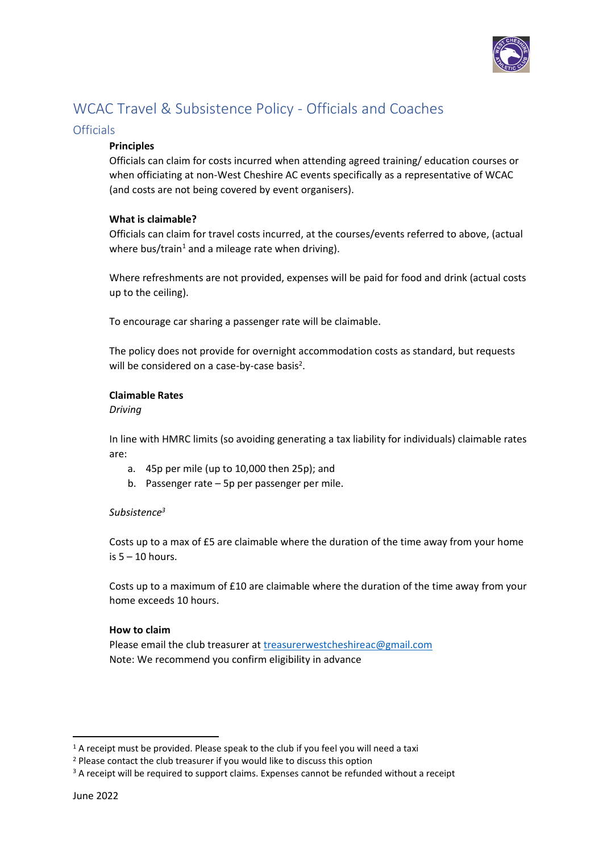

# WCAC Travel & Subsistence Policy - Officials and Coaches

# **Officials**

# **Principles**

Officials can claim for costs incurred when attending agreed training/ education courses or when officiating at non-West Cheshire AC events specifically as a representative of WCAC (and costs are not being covered by event organisers).

### **What is claimable?**

Officials can claim for travel costs incurred, at the courses/events referred to above, (actual where bus/train<sup>1</sup> and a mileage rate when driving).

Where refreshments are not provided, expenses will be paid for food and drink (actual costs up to the ceiling).

To encourage car sharing a passenger rate will be claimable.

The policy does not provide for overnight accommodation costs as standard, but requests will be considered on a case-by-case basis<sup>2</sup>.

### **Claimable Rates**

*Driving* 

In line with HMRC limits (so avoiding generating a tax liability for individuals) claimable rates are:

- a. 45p per mile (up to 10,000 then 25p); and
- b. Passenger rate 5p per passenger per mile.

# *Subsistence<sup>3</sup>*

Costs up to a max of £5 are claimable where the duration of the time away from your home is  $5 - 10$  hours.

Costs up to a maximum of £10 are claimable where the duration of the time away from your home exceeds 10 hours.

#### **How to claim**

Please email the club treasurer at **treasurerwestcheshireac@gmail.com** Note: We recommend you confirm eligibility in advance

 $1$  A receipt must be provided. Please speak to the club if you feel you will need a taxi

<sup>&</sup>lt;sup>2</sup> Please contact the club treasurer if you would like to discuss this option

<sup>&</sup>lt;sup>3</sup> A receipt will be required to support claims. Expenses cannot be refunded without a receipt